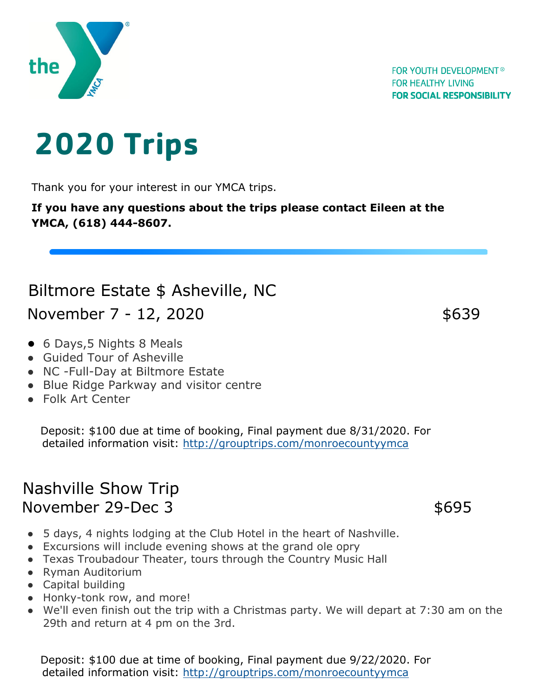

## **2020 Trips**

Thank you for your interest in our YMCA trips.

**If you have any questions about the trips please contact Eileen at the YMCA, (618) 444-8607.**

## Biltmore Estate \$ Asheville, NC

November 7 - 12, 2020 \$639

- 6 Days, 5 Nights 8 Meals
- Guided Tour of Asheville
- NC -Full-Day at Biltmore Estate
- Blue Ridge Parkway and visitor centre
- Folk Art Center

Deposit: \$100 due at time of booking, Final payment due 8/31/2020. For detailed information visit: http://grouptrips.com/monroecountyymca

## Nashville Show Trip November 29-Dec 3 \$695

- 5 days, 4 nights lodging at the Club Hotel in the heart of Nashville.
- Excursions will include evening shows at the grand ole opry
- Texas Troubadour Theater, tours through the Country Music Hall
- Ryman Auditorium
- Capital building
- Honky-tonk row, and more!
- We'll even finish out the trip with a Christmas party. We will depart at 7:30 am on the 29th and return at 4 pm on the 3rd.

Deposit: \$100 due at time of booking, Final payment due 9/22/2020. For detailed information visit: http://grouptrips.com/monroecountyymca